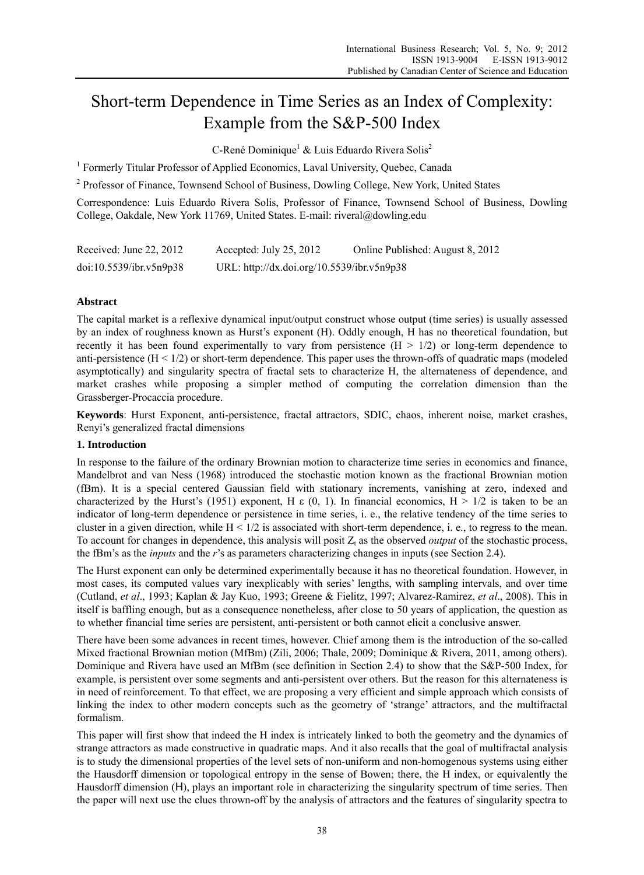# Short-term Dependence in Time Series as an Index of Complexity: Example from the S&P-500 Index

C-René Dominique<sup>1</sup> & Luis Eduardo Rivera Solis<sup>2</sup>

<sup>1</sup> Formerly Titular Professor of Applied Economics, Laval University, Quebec, Canada

<sup>2</sup> Professor of Finance, Townsend School of Business, Dowling College, New York, United States

Correspondence: Luis Eduardo Rivera Solis, Professor of Finance, Townsend School of Business, Dowling College, Oakdale, New York 11769, United States. E-mail: riveral@dowling.edu

| Received: June 22, $2012$ | Accepted: July 25, 2012                    | Online Published: August 8, 2012 |
|---------------------------|--------------------------------------------|----------------------------------|
| doi:10.5539/ibr.v5n9p38   | URL: http://dx.doi.org/10.5539/ibr.v5n9p38 |                                  |

## **Abstract**

The capital market is a reflexive dynamical input/output construct whose output (time series) is usually assessed by an index of roughness known as Hurst's exponent (H). Oddly enough, H has no theoretical foundation, but recently it has been found experimentally to vary from persistence  $(H > 1/2)$  or long-term dependence to anti-persistence  $(H < 1/2)$  or short-term dependence. This paper uses the thrown-offs of quadratic maps (modeled asymptotically) and singularity spectra of fractal sets to characterize H, the alternateness of dependence, and market crashes while proposing a simpler method of computing the correlation dimension than the Grassberger-Procaccia procedure.

**Keywords**: Hurst Exponent, anti-persistence, fractal attractors, SDIC, chaos, inherent noise, market crashes, Renyi's generalized fractal dimensions

## **1. Introduction**

In response to the failure of the ordinary Brownian motion to characterize time series in economics and finance, Mandelbrot and van Ness (1968) introduced the stochastic motion known as the fractional Brownian motion (fBm). It is a special centered Gaussian field with stationary increments, vanishing at zero, indexed and characterized by the Hurst's (1951) exponent, H  $\epsilon$  (0, 1). In financial economics, H  $> 1/2$  is taken to be an indicator of long-term dependence or persistence in time series, i. e., the relative tendency of the time series to cluster in a given direction, while  $H < 1/2$  is associated with short-term dependence, i. e., to regress to the mean. To account for changes in dependence, this analysis will posit  $Z_t$  as the observed *output* of the stochastic process, the fBm's as the *inputs* and the *r*'s as parameters characterizing changes in inputs (see Section 2.4).

The Hurst exponent can only be determined experimentally because it has no theoretical foundation. However, in most cases, its computed values vary inexplicably with series' lengths, with sampling intervals, and over time (Cutland, *et al*., 1993; Kaplan & Jay Kuo, 1993; Greene & Fielitz, 1997; Alvarez-Ramirez, *et al*., 2008). This in itself is baffling enough, but as a consequence nonetheless, after close to 50 years of application, the question as to whether financial time series are persistent, anti-persistent or both cannot elicit a conclusive answer.

There have been some advances in recent times, however. Chief among them is the introduction of the so-called Mixed fractional Brownian motion (MfBm) (Zili, 2006; Thale, 2009; Dominique & Rivera, 2011, among others). Dominique and Rivera have used an MfBm (see definition in Section 2.4) to show that the S&P-500 Index, for example, is persistent over some segments and anti-persistent over others. But the reason for this alternateness is in need of reinforcement. To that effect, we are proposing a very efficient and simple approach which consists of linking the index to other modern concepts such as the geometry of 'strange' attractors, and the multifractal formalism.

This paper will first show that indeed the H index is intricately linked to both the geometry and the dynamics of strange attractors as made constructive in quadratic maps. And it also recalls that the goal of multifractal analysis is to study the dimensional properties of the level sets of non-uniform and non-homogenous systems using either the Hausdorff dimension or topological entropy in the sense of Bowen; there, the H index, or equivalently the Hausdorff dimension  $(H)$ , plays an important role in characterizing the singularity spectrum of time series. Then the paper will next use the clues thrown-off by the analysis of attractors and the features of singularity spectra to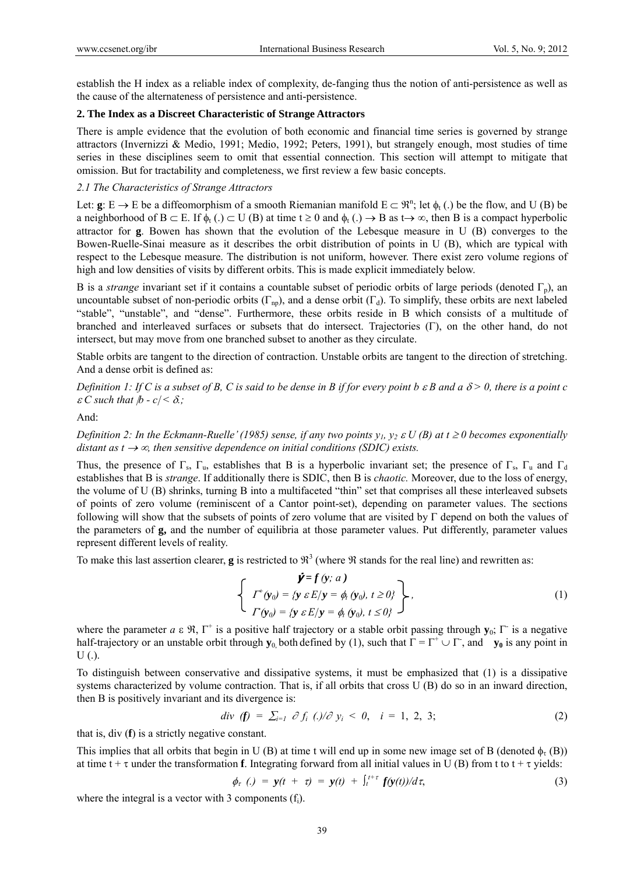establish the H index as a reliable index of complexity, de-fanging thus the notion of anti-persistence as well as the cause of the alternateness of persistence and anti-persistence.

## **2. The Index as a Discreet Characteristic of Strange Attractors**

There is ample evidence that the evolution of both economic and financial time series is governed by strange attractors (Invernizzi & Medio, 1991; Medio, 1992; Peters, 1991), but strangely enough, most studies of time series in these disciplines seem to omit that essential connection. This section will attempt to mitigate that omission. But for tractability and completeness, we first review a few basic concepts.

## *2.1 The Characteristics of Strange Attractors*

Let:  $g: E \to E$  be a diffeomorphism of a smooth Riemanian manifold  $E \subset \mathbb{R}^n$ ; let  $\phi_t$  (.) be the flow, and U (B) be a neighborhood of  $B \subset E$ . If  $\phi_t(.) \subset U(B)$  at time  $t \ge 0$  and  $\phi_t(.) \to B$  as  $t \to \infty$ , then B is a compact hyperbolic attractor for **g**. Bowen has shown that the evolution of the Lebesque measure in U (B) converges to the Bowen-Ruelle-Sinai measure as it describes the orbit distribution of points in U (B), which are typical with respect to the Lebesque measure. The distribution is not uniform, however. There exist zero volume regions of high and low densities of visits by different orbits. This is made explicit immediately below.

B is a *strange* invariant set if it contains a countable subset of periodic orbits of large periods (denoted  $\Gamma_p$ ), an uncountable subset of non-periodic orbits  $(\Gamma_{np})$ , and a dense orbit  $(\Gamma_d)$ . To simplify, these orbits are next labeled "stable", "unstable", and "dense". Furthermore, these orbits reside in B which consists of a multitude of branched and interleaved surfaces or subsets that do intersect. Trajectories  $(\Gamma)$ , on the other hand, do not intersect, but may move from one branched subset to another as they circulate.

Stable orbits are tangent to the direction of contraction. Unstable orbits are tangent to the direction of stretching. And a dense orbit is defined as:

*Definition 1: If C is a subset of B, C is said to be dense in B if for every point b*  $\epsilon$  *B and a*  $\delta$  *> 0, there is a point c*  $\mathcal{E} C$  such that  $\mathcal{P} - c \leq \delta$ ;

And:

*Definition 2: In the Eckmann-Ruelle' (1985) sense, if any two points*  $y_1, y_2 \in U(B)$  *at*  $t \ge 0$  *becomes exponentially distant as t*  $\rightarrow \infty$ , then sensitive dependence on initial conditions (SDIC) exists.

Thus, the presence of  $\Gamma_s$ ,  $\Gamma_u$ , establishes that B is a hyperbolic invariant set; the presence of  $\Gamma_s$ ,  $\Gamma_u$  and  $\Gamma_d$ establishes that B is *strange*. If additionally there is SDIC, then B is *chaotic.* Moreover, due to the loss of energy, the volume of U (B) shrinks, turning B into a multifaceted "thin" set that comprises all these interleaved subsets of points of zero volume (reminiscent of a Cantor point-set), depending on parameter values. The sections following will show that the subsets of points of zero volume that are visited by  $\Gamma$  depend on both the values of the parameters of **g,** and the number of equilibria at those parameter values. Put differently, parameter values represent different levels of reality.

To make this last assertion clearer, **g** is restricted to  $\mathbb{R}^3$  (where  $\Re$  stands for the real line) and rewritten as:

$$
\begin{cases}\n\dot{\mathbf{y}} = f(\mathbf{y}; a) \\
\int f^*(\mathbf{y}_0) = \{ \mathbf{y} \in E / \mathbf{y} = \phi_t(\mathbf{y}_0), t \ge 0 \} \\
\int f(\mathbf{y}_0) = \{ \mathbf{y} \in E / \mathbf{y} = \phi_t(\mathbf{y}_0), t \le 0 \} \n\end{cases}
$$
\n(1)

where the parameter  $a \in \mathfrak{R}$ ,  $\Gamma^+$  is a positive half trajectory or a stable orbit passing through  $\mathbf{y}_0$ ;  $\Gamma^-$  is a negative half-trajectory or an unstable orbit through  $y_0$  both defined by (1), such that  $\Gamma = \Gamma^+ \cup \Gamma$ , and  $y_0$  is any point in  $U(.)$ .

To distinguish between conservative and dissipative systems, it must be emphasized that (1) is a dissipative systems characterized by volume contraction. That is, if all orbits that cross U (B) do so in an inward direction, then B is positively invariant and its divergence is:

$$
div (f) = \sum_{i=1}^{\infty} \partial f_i (t)/\partial y_i < 0, \quad i = 1, 2, 3;
$$
 (2)

that is, div (**f**) is a strictly negative constant.

This implies that all orbits that begin in U (B) at time t will end up in some new image set of B (denoted  $\phi_r$  (B)) at time  $t + \tau$  under the transformation **f**. Integrating forward from all initial values in U (B) from t to  $t + \tau$  vields:

$$
\phi_{\tau} (\cdot) = y(t + \tau) = y(t) + \int_{t}^{t+\tau} f(y(t))/d\tau, \tag{3}
$$

where the integral is a vector with 3 components  $(f<sub>i</sub>)$ .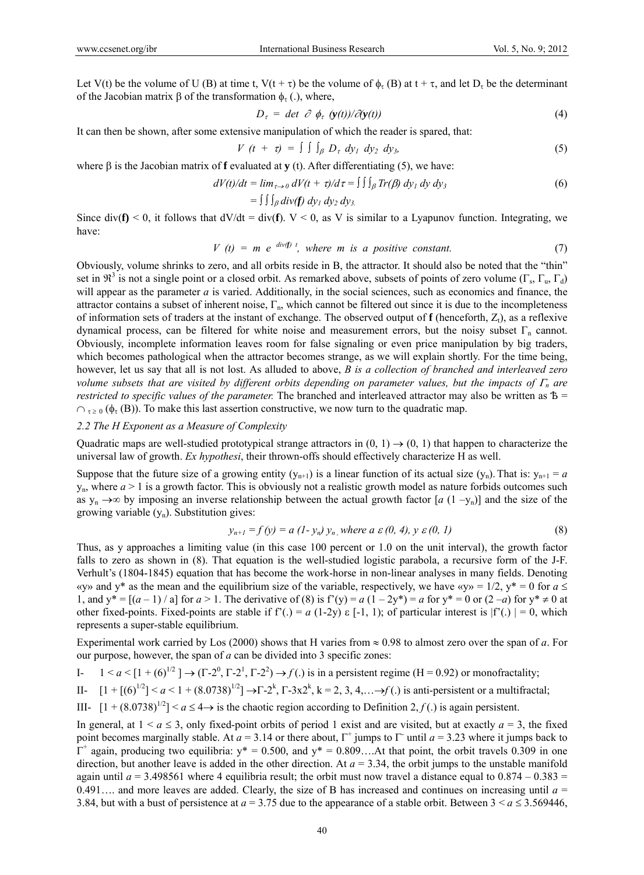Let V(t) be the volume of U (B) at time t, V(t +  $\tau$ ) be the volume of  $\phi_{\tau}$  (B) at t +  $\tau$ , and let  $D_{\tau}$  be the determinant of the Jacobian matrix  $\beta$  of the transformation  $\phi_{\tau}$  (.), where,

$$
D_{\tau} = \det \; \partial \; \phi_{\tau} \; (y(t))/\partial(y(t)) \tag{4}
$$

It can then be shown, after some extensive manipulation of which the reader is spared, that:

$$
V(t + \tau) = \int \int \int_{\beta} D_{\tau} dy_1 dy_2 dy_3, \qquad (5)
$$

where  $\beta$  is the Jacobian matrix of **f** evaluated at **y** (t). After differentiating (5), we have:

$$
dV(t)/dt = \lim_{\tau \to 0} dV(t + \tau)/d\tau = \iiint_{\beta} Tr(\beta) dy_1 dy dy_3
$$
 (6)

$$
= \int \int \int_{\beta} div(f) \, dy_1 \, dy_2 \, dy_3
$$

Since div( $f$ ) < 0, it follows that  $dV/dt = div(f)$ .  $V < 0$ , as V is similar to a Lyapunov function. Integrating, we have:

$$
V(t) = m e^{div(f)t}, where m is a positive constant. \t(7)
$$

Obviously, volume shrinks to zero, and all orbits reside in B, the attractor. It should also be noted that the "thin" set in  $\mathfrak{R}^3$  is not a single point or a closed orbit. As remarked above, subsets of points of zero volume ( $\Gamma_s$ ,  $\Gamma_u$ ,  $\Gamma_d$ ) will appear as the parameter *a* is varied. Additionally, in the social sciences, such as economics and finance, the attractor contains a subset of inherent noise,  $\Gamma_{\rm n}$ , which cannot be filtered out since it is due to the incompleteness of information sets of traders at the instant of exchange. The observed output of  $f$  (henceforth,  $Z_t$ ), as a reflexive dynamical process, can be filtered for white noise and measurement errors, but the noisy subset  $\Gamma_n$  cannot. Obviously, incomplete information leaves room for false signaling or even price manipulation by big traders, which becomes pathological when the attractor becomes strange, as we will explain shortly. For the time being, however, let us say that all is not lost. As alluded to above, *B is a collection of branched and interleaved zero volume subsets that are visited by different orbits depending on parameter values, but the impacts of*  $\Gamma_n$  are *restricted to specific values of the parameter.* The branched and interleaved attractor may also be written as  $\bar{B}$  =  $\cap$ <sub> $\tau \ge 0$ </sub> ( $\phi_{\tau}$  (B)). To make this last assertion constructive, we now turn to the quadratic map.

#### *2.2 The H Exponent as a Measure of Complexity*

Quadratic maps are well-studied prototypical strange attractors in  $(0, 1) \rightarrow (0, 1)$  that happen to characterize the universal law of growth. *Ex hypothesi*, their thrown-offs should effectively characterize H as well.

Suppose that the future size of a growing entity  $(y_{n+1})$  is a linear function of its actual size  $(y_n)$ . That is:  $y_{n+1} = a$  $y_n$ , where  $a > 1$  is a growth factor. This is obviously not a realistic growth model as nature forbids outcomes such as  $y_n \rightarrow \infty$  by imposing an inverse relationship between the actual growth factor [*a* (1 –y<sub>n</sub>)] and the size of the growing variable  $(y_n)$ . Substitution gives:

$$
y_{n+1} = f(y) = a (1 - y_n) y_n, \text{ where } a \in (0, 4), y \in (0, 1)
$$
 (8)

Thus, as y approaches a limiting value (in this case 100 percent or 1.0 on the unit interval), the growth factor falls to zero as shown in (8). That equation is the well-studied logistic parabola, a recursive form of the J-F. Verhult's (1804-1845) equation that has become the work-horse in non-linear analyses in many fields. Denoting «y» and y<sup>\*</sup> as the mean and the equilibrium size of the variable, respectively, we have «y» = 1/2, y<sup>\*</sup> = 0 for  $a \leq$ 1, and  $y^* = [(a-1)/a]$  for  $a > 1$ . The derivative of (8) is  $f'(y) = a(1-2y^*) = a$  for  $y^* = 0$  or  $(2-a)$  for  $y^* \ne 0$  at other fixed-points. Fixed-points are stable if  $f'(.) = a(1-2y) \varepsilon [-1, 1)$ ; of particular interest is  $|f'(.)| = 0$ , which represents a super-stable equilibrium.

Experimental work carried by Los (2000) shows that H varies from  $\approx 0.98$  to almost zero over the span of *a*. For our purpose, however, the span of *a* can be divided into 3 specific zones:

I- 
$$
1 < a < [1 + (6)^{1/2}] \rightarrow (\Gamma - 2^0, \Gamma - 2^1, \Gamma - 2^2) \rightarrow f(.)
$$
 is in a persistent regime (H = 0.92) or monofractality;

II-  $[1 + [(6)^{1/2}] < a < 1 + (8.0738)^{1/2}] \rightarrow \Gamma \cdot 2^k$ ,  $\Gamma \cdot 3x2^k$ ,  $k = 2, 3, 4, \ldots \rightarrow f$ . is anti-persistent or a multifractal;

III-  $[1 + (8.0738)^{1/2}]$  <  $a \le 4 \rightarrow$  is the chaotic region according to Definition 2,  $f(.)$  is again persistent.

In general, at  $1 < a \le 3$ , only fixed-point orbits of period 1 exist and are visited, but at exactly  $a = 3$ , the fixed point becomes marginally stable. At  $a = 3.14$  or there about,  $\Gamma^+$  jumps to  $\Gamma^-$  until  $a = 3.23$  where it jumps back to  $\overline{\Gamma}^+$  again, producing two equilibria: y\* = 0.500, and y\* = 0.809... At that point, the orbit travels 0.309 in one direction, but another leave is added in the other direction. At  $a = 3.34$ , the orbit jumps to the unstable manifold again until  $a = 3.498561$  where 4 equilibria result; the orbit must now travel a distance equal to  $0.874 - 0.383 =$ 0.491.... and more leaves are added. Clearly, the size of B has increased and continues on increasing until  $a =$ 3.84, but with a bust of persistence at  $a = 3.75$  due to the appearance of a stable orbit. Between  $3 < a \le 3.569446$ ,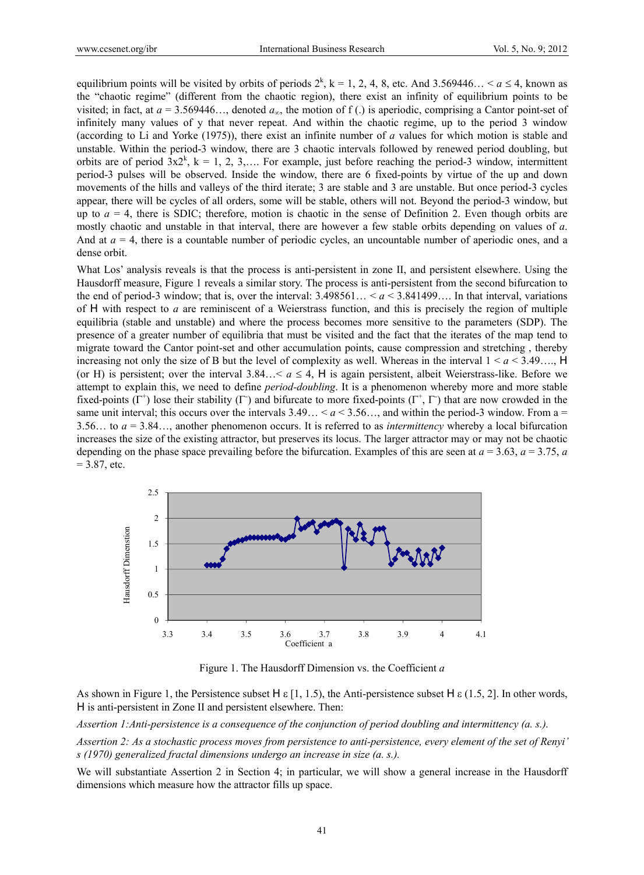equilibrium points will be visited by orbits of periods  $2^k$ ,  $k = 1, 2, 4, 8$ , etc. And 3.569446... <  $a \le 4$ , known as the "chaotic regime" (different from the chaotic region), there exist an infinity of equilibrium points to be visited; in fact, at  $a = 3.569446...$ , denoted  $a<sub>x</sub>$ , the motion of f(.) is aperiodic, comprising a Cantor point-set of infinitely many values of y that never repeat. And within the chaotic regime, up to the period 3 window (according to Li and Yorke (1975)), there exist an infinite number of *a* values for which motion is stable and unstable. Within the period-3 window, there are 3 chaotic intervals followed by renewed period doubling, but orbits are of period  $3x2^k$ ,  $k = 1, 2, 3,...$  For example, just before reaching the period-3 window, intermittent period-3 pulses will be observed. Inside the window, there are 6 fixed-points by virtue of the up and down movements of the hills and valleys of the third iterate; 3 are stable and 3 are unstable. But once period-3 cycles appear, there will be cycles of all orders, some will be stable, others will not. Beyond the period-3 window, but up to  $a = 4$ , there is SDIC; therefore, motion is chaotic in the sense of Definition 2. Even though orbits are mostly chaotic and unstable in that interval, there are however a few stable orbits depending on values of *a*. And at  $a = 4$ , there is a countable number of periodic cycles, an uncountable number of aperiodic ones, and a dense orbit.

What Los' analysis reveals is that the process is anti-persistent in zone II, and persistent elsewhere. Using the Hausdorff measure, Figure 1 reveals a similar story. The process is anti-persistent from the second bifurcation to the end of period-3 window; that is, over the interval:  $3.498561... < a < 3.841499...$  In that interval, variations of  $H$  with respect to *a* are reminiscent of a Weierstrass function, and this is precisely the region of multiple equilibria (stable and unstable) and where the process becomes more sensitive to the parameters (SDP). The presence of a greater number of equilibria that must be visited and the fact that the iterates of the map tend to migrate toward the Cantor point-set and other accumulation points, cause compression and stretching , thereby increasing not only the size of B but the level of complexity as well. Whereas in the interval  $1 \le a \le 3.49...$  H (or H) is persistent; over the interval 3.84…  $a \leq 4$ , H is again persistent, albeit Weierstrass-like. Before we attempt to explain this, we need to define *period-doubling*. It is a phenomenon whereby more and more stable fixed-points  $(\Gamma^+)$  lose their stability  $(\Gamma)$  and bifurcate to more fixed-points  $(\Gamma^+, \Gamma)$  that are now crowded in the same unit interval; this occurs over the intervals  $3.49... \le a \le 3.56...$  and within the period-3 window. From a = 3.56… to *a* = 3.84…, another phenomenon occurs. It is referred to as *intermittency* whereby a local bifurcation increases the size of the existing attractor, but preserves its locus. The larger attractor may or may not be chaotic depending on the phase space prevailing before the bifurcation. Examples of this are seen at  $a = 3.63$ ,  $a = 3.75$ ,  $a$  $= 3.87$ , etc.



Figure 1. The Hausdorff Dimension vs. the Coefficient *a* 

As shown in Figure 1, the Persistence subset  $\forall$  [1, 1.5), the Anti-persistence subset  $\forall$  [2, 1.5, 2]. In other words,  $H$  is anti-persistent in Zone II and persistent elsewhere. Then:

*Assertion 1:Anti-persistence is a consequence of the conjunction of period doubling and intermittency (a. s.).* 

*Assertion 2: As a stochastic process moves from persistence to anti-persistence, every element of the set of Renyi' s (1970) generalized fractal dimensions undergo an increase in size (a. s.).* 

We will substantiate Assertion 2 in Section 4; in particular, we will show a general increase in the Hausdorff dimensions which measure how the attractor fills up space.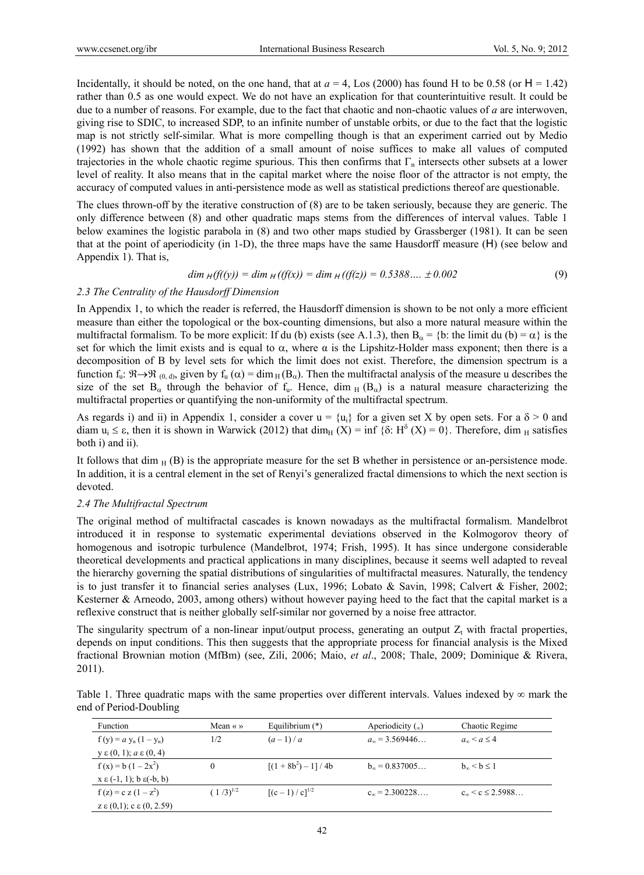Incidentally, it should be noted, on the one hand, that at  $a = 4$ , Los (2000) has found H to be 0.58 (or  $H = 1.42$ ) rather than 0.5 as one would expect. We do not have an explication for that counterintuitive result. It could be due to a number of reasons. For example, due to the fact that chaotic and non-chaotic values of *a* are interwoven, giving rise to SDIC, to increased SDP, to an infinite number of unstable orbits, or due to the fact that the logistic map is not strictly self-similar. What is more compelling though is that an experiment carried out by Medio (1992) has shown that the addition of a small amount of noise suffices to make all values of computed trajectories in the whole chaotic regime spurious. This then confirms that  $\Gamma_n$  intersects other subsets at a lower level of reality. It also means that in the capital market where the noise floor of the attractor is not empty, the accuracy of computed values in anti-persistence mode as well as statistical predictions thereof are questionable.

The clues thrown-off by the iterative construction of (8) are to be taken seriously, because they are generic. The only difference between (8) and other quadratic maps stems from the differences of interval values. Table 1 below examines the logistic parabola in (8) and two other maps studied by Grassberger (1981). It can be seen that at the point of aperiodicity (in 1-D), the three maps have the same Hausdorff measure  $(H)$  (see below and Appendix 1). That is,

$$
\dim_{H}(f((y)) = \dim_{H}((f(x)) = \dim_{H}((f(z)) = 0.5388.... \pm 0.002 \tag{9}
$$

## *2.3 The Centrality of the Hausdorff Dimension*

In Appendix 1, to which the reader is referred, the Hausdorff dimension is shown to be not only a more efficient measure than either the topological or the box-counting dimensions, but also a more natural measure within the multifractal formalism. To be more explicit: If du (b) exists (see A.1.3), then  $B_{\alpha} = \{b:$  the limit du (b) =  $\alpha\}$  is the set for which the limit exists and is equal to  $\alpha$ , where  $\alpha$  is the Lipshitz-Holder mass exponent; then there is a decomposition of B by level sets for which the limit does not exist. Therefore, the dimension spectrum is a function  $f_u: \mathcal{R} \to \mathcal{R}_{(0, d)}$ , given by  $f_u(\alpha) = \dim_H(\mathcal{B}_{\alpha})$ . Then the multifractal analysis of the measure u describes the size of the set  $B_{\alpha}$  through the behavior of  $f_u$ . Hence, dim  $_H$  ( $B_{\alpha}$ ) is a natural measure characterizing the multifractal properties or quantifying the non-uniformity of the multifractal spectrum.

As regards i) and ii) in Appendix 1, consider a cover  $u = \{u_i\}$  for a given set X by open sets. For a  $\delta > 0$  and diam  $u_i \leq \varepsilon$ , then it is shown in Warwick (2012) that dim<sub>H</sub> (X) = inf { $\delta$ : H<sup> $\delta$ </sup> (X) = 0}. Therefore, dim <sub>H</sub> satisfies both i) and ii).

It follows that dim  $_H$  (B) is the appropriate measure for the set B whether in persistence or an-persistence mode. In addition, it is a central element in the set of Renyi's generalized fractal dimensions to which the next section is devoted.

#### *2.4 The Multifractal Spectrum*

The original method of multifractal cascades is known nowadays as the multifractal formalism. Mandelbrot introduced it in response to systematic experimental deviations observed in the Kolmogorov theory of homogenous and isotropic turbulence (Mandelbrot, 1974; Frish, 1995). It has since undergone considerable theoretical developments and practical applications in many disciplines, because it seems well adapted to reveal the hierarchy governing the spatial distributions of singularities of multifractal measures. Naturally, the tendency is to just transfer it to financial series analyses (Lux, 1996; Lobato & Savin, 1998; Calvert & Fisher, 2002; Kesterner & Arneodo, 2003, among others) without however paying heed to the fact that the capital market is a reflexive construct that is neither globally self-similar nor governed by a noise free attractor.

The singularity spectrum of a non-linear input/output process, generating an output  $Z_t$  with fractal properties, depends on input conditions. This then suggests that the appropriate process for financial analysis is the Mixed fractional Brownian motion (MfBm) (see, Zili, 2006; Maio, *et al*., 2008; Thale, 2009; Dominique & Rivera, 2011).

Table 1. Three quadratic maps with the same properties over different intervals. Values indexed by  $\infty$  mark the end of Period-Doubling

| <b>Function</b>                           | Mean $\langle \rangle$ | Equilibrium $(*)$ | Aperiodicity $\binom{1}{\infty}$ | Chaotic Regime            |
|-------------------------------------------|------------------------|-------------------|----------------------------------|---------------------------|
| $f(y) = a y_n (1 - y_n)$                  | 1/2                    | $(a-1)/a$         | $a_{\infty}$ = 3.569446.         | $a_{\infty} < a < 4$      |
| $y \in (0, 1)$ ; $a \in (0, 4)$           |                        |                   |                                  |                           |
| $f(x) = b(1-2x^2)$                        | 0                      | $[(1+8b^2)-1]/4b$ | $b_m = 0.837005$                 | $b_{\infty} < b \leq 1$   |
| $x \in (-1, 1)$ ; b $\varepsilon(-b, b)$  |                        |                   |                                  |                           |
| $f(z) = c z (1 - z^2)$                    | $(1/3)^{1/2}$          | $[(c-1)/c]^{1/2}$ | $c_m = 2.300228$                 | $c_{\infty}$ < c < 2.5988 |
| $z \in (0,1)$ ; c $\varepsilon (0, 2.59)$ |                        |                   |                                  |                           |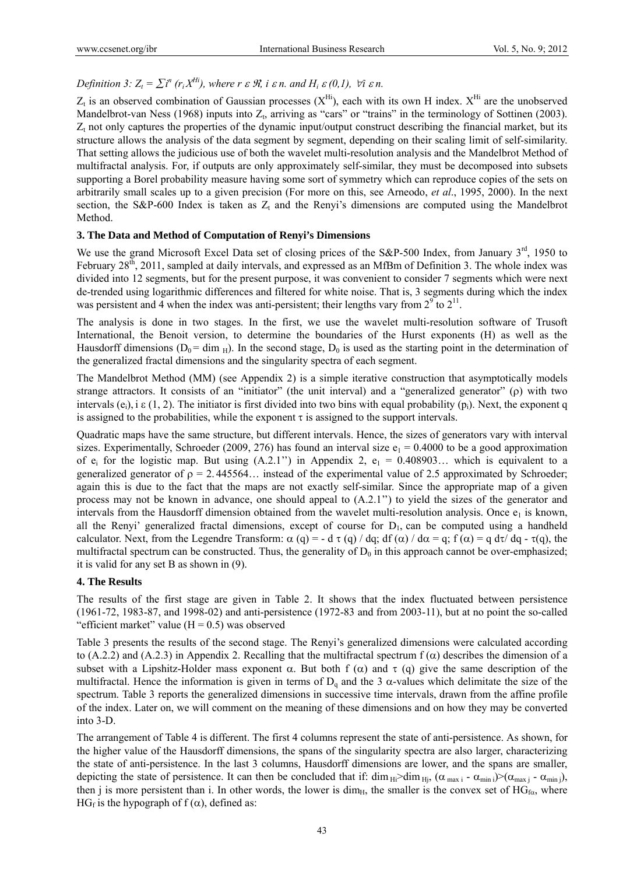## *Definition 3:*  $Z_t = \sum i^n (r_i X^{H_i})$ , where  $r \in \mathcal{R}$ , i  $\varepsilon n$ . and  $H_i \varepsilon (0,1)$ ,  $\forall i \varepsilon n$ .

 $Z_t$  is an observed combination of Gaussian processes  $(X^{Hi})$ , each with its own H index.  $X^{Hi}$  are the unobserved Mandelbrot-van Ness (1968) inputs into  $Z_t$ , arriving as "cars" or "trains" in the terminology of Sottinen (2003).  $Z_t$  not only captures the properties of the dynamic input/output construct describing the financial market, but its structure allows the analysis of the data segment by segment, depending on their scaling limit of self-similarity. That setting allows the judicious use of both the wavelet multi-resolution analysis and the Mandelbrot Method of multifractal analysis. For, if outputs are only approximately self-similar, they must be decomposed into subsets supporting a Borel probability measure having some sort of symmetry which can reproduce copies of the sets on arbitrarily small scales up to a given precision (For more on this, see Arneodo, *et al*., 1995, 2000). In the next section, the S&P-600 Index is taken as  $Z_t$  and the Renyi's dimensions are computed using the Mandelbrot Method.

## **3. The Data and Method of Computation of Renyi's Dimensions**

We use the grand Microsoft Excel Data set of closing prices of the S&P-500 Index, from January 3<sup>rd</sup>, 1950 to February 28<sup>th</sup>, 2011, sampled at daily intervals, and expressed as an MfBm of Definition 3. The whole index was divided into 12 segments, but for the present purpose, it was convenient to consider 7 segments which were next de-trended using logarithmic differences and filtered for white noise. That is, 3 segments during which the index was persistent and 4 when the index was anti-persistent; their lengths vary from  $2^9$  to  $2^{11}$ .

The analysis is done in two stages. In the first, we use the wavelet multi-resolution software of Trusoft International, the Benoit version, to determine the boundaries of the Hurst exponents (H) as well as the Hausdorff dimensions ( $D_0 = \text{dim}_{\text{H}}$ ). In the second stage,  $D_0$  is used as the starting point in the determination of the generalized fractal dimensions and the singularity spectra of each segment.

The Mandelbrot Method (MM) (see Appendix 2) is a simple iterative construction that asymptotically models strange attractors. It consists of an "initiator" (the unit interval) and a "generalized generator" ( $\rho$ ) with two intervals  $(e_i)$ , i  $\varepsilon$  (1, 2). The initiator is first divided into two bins with equal probability  $(p_i)$ . Next, the exponent q is assigned to the probabilities, while the exponent  $\tau$  is assigned to the support intervals.

Quadratic maps have the same structure, but different intervals. Hence, the sizes of generators vary with interval sizes. Experimentally, Schroeder (2009, 276) has found an interval size  $e_1 = 0.4000$  to be a good approximation of  $e_i$  for the logistic map. But using  $(A.2.1'')$  in Appendix 2,  $e_1 = 0.408903...$  which is equivalent to a generalized generator of  $\rho = 2.445564...$  instead of the experimental value of 2.5 approximated by Schroeder; again this is due to the fact that the maps are not exactly self-similar. Since the appropriate map of a given process may not be known in advance, one should appeal to (A.2.1'') to yield the sizes of the generator and intervals from the Hausdorff dimension obtained from the wavelet multi-resolution analysis. Once  $e_1$  is known, all the Renyi' generalized fractal dimensions, except of course for  $D_1$ , can be computed using a handheld calculator. Next, from the Legendre Transform:  $\alpha$  (q) = - d  $\tau$  (q) / dq; df ( $\alpha$ ) / d $\alpha$  = q; f ( $\alpha$ ) = q d $\tau$ / dq -  $\tau$ (q), the multifractal spectrum can be constructed. Thus, the generality of  $D_0$  in this approach cannot be over-emphasized; it is valid for any set B as shown in (9).

## **4. The Results**

The results of the first stage are given in Table 2. It shows that the index fluctuated between persistence (1961-72, 1983-87, and 1998-02) and anti-persistence (1972-83 and from 2003-11), but at no point the so-called "efficient market" value  $(H = 0.5)$  was observed

Table 3 presents the results of the second stage. The Renyi's generalized dimensions were calculated according to (A.2.2) and (A.2.3) in Appendix 2. Recalling that the multifractal spectrum  $f(\alpha)$  describes the dimension of a subset with a Lipshitz-Holder mass exponent  $\alpha$ . But both f  $(\alpha)$  and  $\tau$  (q) give the same description of the multifractal. Hence the information is given in terms of  $D_q$  and the 3  $\alpha$ -values which delimitate the size of the spectrum. Table 3 reports the generalized dimensions in successive time intervals, drawn from the affine profile of the index. Later on, we will comment on the meaning of these dimensions and on how they may be converted into 3-D.

The arrangement of Table 4 is different. The first 4 columns represent the state of anti-persistence. As shown, for the higher value of the Hausdorff dimensions, the spans of the singularity spectra are also larger, characterizing the state of anti-persistence. In the last 3 columns, Hausdorff dimensions are lower, and the spans are smaller, depicting the state of persistence. It can then be concluded that if: dim  $_{\text{Hi}} >$ dim  $_{\text{Hi}}$ ,  $(\alpha_{\text{max i}} - \alpha_{\text{min i}}) > (\alpha_{\text{max j}} - \alpha_{\text{min j}})$ , then j is more persistent than i. In other words, the lower is dim<sub>H</sub>, the smaller is the convex set of  $HG_{fa}$ , where HG<sub>f</sub> is the hypograph of  $f(\alpha)$ , defined as: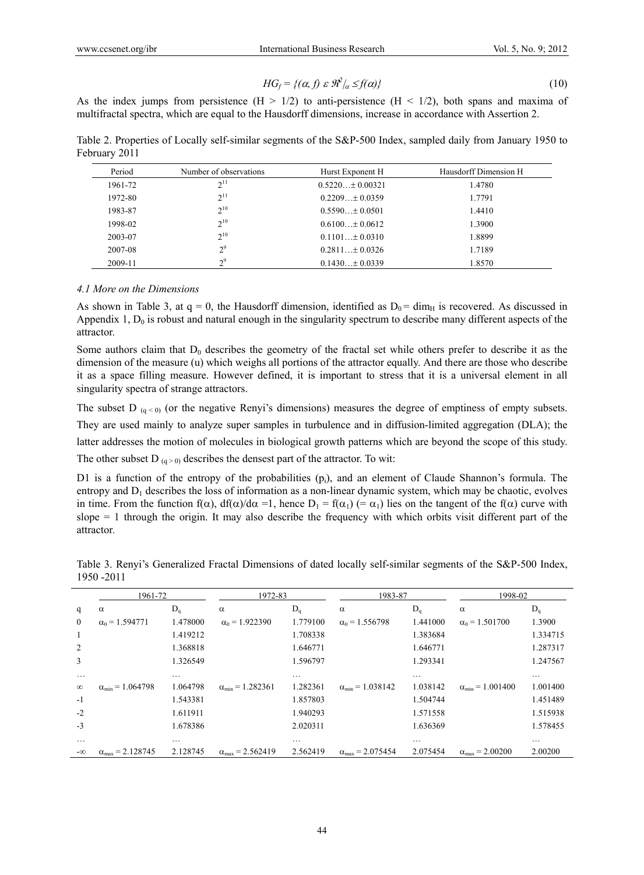$$
HG_f = \{ (\alpha, f) \ \varepsilon \ \mathcal{R}^2/\alpha \le f(\alpha) \} \tag{10}
$$

As the index jumps from persistence  $(H > 1/2)$  to anti-persistence  $(H < 1/2)$ , both spans and maxima of multifractal spectra, which are equal to the Hausdorff dimensions, increase in accordance with Assertion 2.

Table 2. Properties of Locally self-similar segments of the S&P-500 Index, sampled daily from January 1950 to February 2011

| Period  | Number of observations | Hurst Exponent H    | Hausdorff Dimension H |
|---------|------------------------|---------------------|-----------------------|
| 1961-72 | 2 <sup>11</sup>        | $0.5220 + 0.00321$  | 1.4780                |
| 1972-80 | $2^{11}$               | $0.2209 + 0.0359$   | 1.7791                |
| 1983-87 | $2^{10}$               | $0.5590 + 0.0501$   | 1.4410                |
| 1998-02 | $2^{10}$               | $0.6100 \pm 0.0612$ | 1.3900                |
| 2003-07 | $2^{10}$               | $0.1101 + 0.0310$   | 1.8899                |
| 2007-08 | 2 <sup>9</sup>         | $0.2811 + 0.0326$   | 1.7189                |
| 2009-11 | 2 <sup>9</sup>         | $0.1430 \pm 0.0339$ | 1.8570                |

### *4.1 More on the Dimensions*

As shown in Table 3, at  $q = 0$ , the Hausdorff dimension, identified as  $D_0 = \dim_H$  is recovered. As discussed in Appendix 1,  $D_0$  is robust and natural enough in the singularity spectrum to describe many different aspects of the attractor.

Some authors claim that  $D_0$  describes the geometry of the fractal set while others prefer to describe it as the dimension of the measure (u) which weighs all portions of the attractor equally. And there are those who describe it as a space filling measure. However defined, it is important to stress that it is a universal element in all singularity spectra of strange attractors.

The subset D  $_{(q<0)}$  (or the negative Renyi's dimensions) measures the degree of emptiness of empty subsets. They are used mainly to analyze super samples in turbulence and in diffusion-limited aggregation (DLA); the latter addresses the motion of molecules in biological growth patterns which are beyond the scope of this study. The other subset D  $_{(q>0)}$  describes the densest part of the attractor. To wit:

D1 is a function of the entropy of the probabilities  $(p_i)$ , and an element of Claude Shannon's formula. The entropy and  $D_1$  describes the loss of information as a non-linear dynamic system, which may be chaotic, evolves in time. From the function  $f(\alpha)$ ,  $df(\alpha)/d\alpha =1$ , hence  $D_1 = f(\alpha_1)$  (=  $\alpha_1$ ) lies on the tangent of the  $f(\alpha)$  curve with slope  $= 1$  through the origin. It may also describe the frequency with which orbits visit different part of the attractor*.*

|              | 1961-72                          |          | 1972-83                          |          | 1983-87                          |          | 1998-02                         |          |
|--------------|----------------------------------|----------|----------------------------------|----------|----------------------------------|----------|---------------------------------|----------|
| q            | $\alpha$                         | $D_q$    | $\alpha$                         | $D_q$    | $\alpha$                         | $D_q$    | $\alpha$                        | $D_q$    |
| $\mathbf{0}$ | $\alpha_0 = 1.594771$            | 1.478000 | $\alpha_0$ = 1.922390            | 1.779100 | $\alpha_0$ = 1.556798            | 1.441000 | $\alpha_0$ = 1.501700           | 1.3900   |
|              |                                  | 1.419212 |                                  | 1.708338 |                                  | 1.383684 |                                 | 1.334715 |
|              |                                  | 1.368818 |                                  | 1.646771 |                                  | 1.646771 |                                 | 1.287317 |
| 3            |                                  | 1.326549 |                                  | 1.596797 |                                  | 1.293341 |                                 | 1.247567 |
| $\cdots$     |                                  | $\cdots$ |                                  | $\cdots$ |                                  | $\cdots$ |                                 | $\cdots$ |
| $\infty$     | $\alpha_{\min} = 1.064798$       | 1.064798 | $\alpha_{\min} = 1.282361$       | 1.282361 | $\alpha_{\min} = 1.038142$       | 1.038142 | $\alpha_{\min} = 1.001400$      | 1.001400 |
| $-1$         |                                  | 1.543381 |                                  | 1.857803 |                                  | 1.504744 |                                 | 1.451489 |
| $-2$         |                                  | 1.611911 |                                  | 1.940293 |                                  | 1.571558 |                                 | 1.515938 |
| $-3$         |                                  | 1.678386 |                                  | 2.020311 |                                  | 1.636369 |                                 | 1.578455 |
| $\cdots$     |                                  | $\cdots$ |                                  | $\cdots$ |                                  | $\cdots$ |                                 | $\cdots$ |
| $-\infty$    | $\alpha_{\text{max}} = 2.128745$ | 2.128745 | $\alpha_{\text{max}} = 2.562419$ | 2.562419 | $\alpha_{\text{max}} = 2.075454$ | 2.075454 | $\alpha_{\text{max}} = 2.00200$ | 2.00200  |

Table 3. Renyi's Generalized Fractal Dimensions of dated locally self-similar segments of the S&P-500 Index, 1950 -2011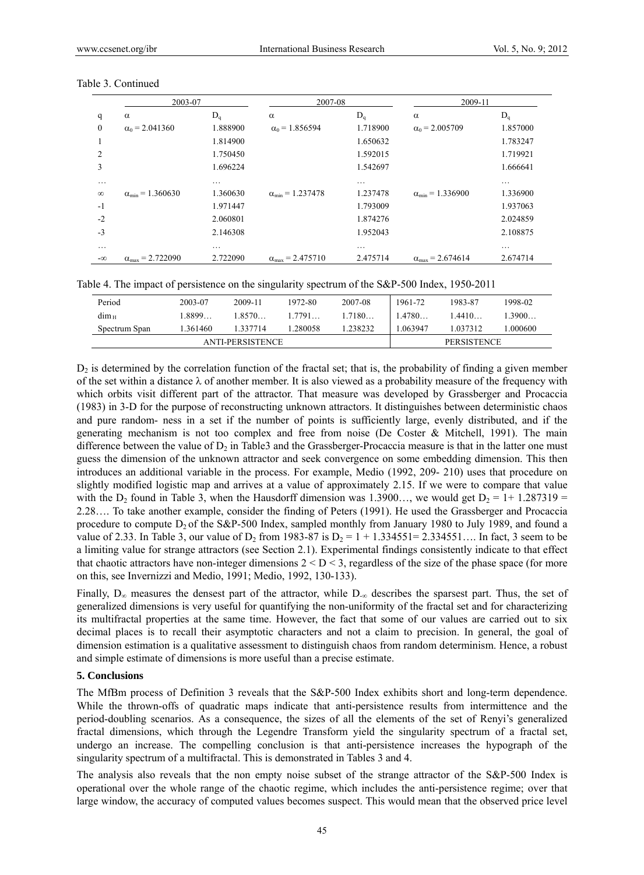|                | 2003-07                          |          | 2007-08                          |          | 2009-11                          |          |
|----------------|----------------------------------|----------|----------------------------------|----------|----------------------------------|----------|
| q              | $\alpha$                         | $D_q$    | $\alpha$                         | $D_q$    | $\alpha$                         | $D_q$    |
| $\mathbf{0}$   | $\alpha_0$ = 2.041360            | 1.888900 | $\alpha_0$ = 1.856594            | 1.718900 | $\alpha_0$ = 2.005709            | 1.857000 |
|                |                                  | 1.814900 |                                  | 1.650632 |                                  | 1.783247 |
| $\overline{c}$ |                                  | 1.750450 |                                  | 1.592015 |                                  | 1.719921 |
| 3              |                                  | 1.696224 |                                  | 1.542697 |                                  | 1.666641 |
| .              |                                  | .        |                                  | .        |                                  | .        |
| $\infty$       | $\alpha_{\min} = 1.360630$       | 1.360630 | $\alpha_{\min} = 1.237478$       | 1.237478 | $\alpha_{\min} = 1.336900$       | 1.336900 |
| $-1$           |                                  | 1.971447 |                                  | 1.793009 |                                  | 1.937063 |
| $-2$           |                                  | 2.060801 |                                  | 1.874276 |                                  | 2.024859 |
| $-3$           |                                  | 2.146308 |                                  | 1.952043 |                                  | 2.108875 |
| $\cdots$       |                                  | .        |                                  | .        |                                  | $\cdots$ |
| $-\infty$      | $\alpha_{\text{max}} = 2.722090$ | 2.722090 | $\alpha_{\text{max}} = 2.475710$ | 2.475714 | $\alpha_{\text{max}} = 2.674614$ | 2.674714 |

#### Table 3. Continued

|  |  | Table 4. The impact of persistence on the singularity spectrum of the S&P-500 Index, 1950-2011 |
|--|--|------------------------------------------------------------------------------------------------|
|  |  |                                                                                                |

| Period                  | 2003-07 | 2009-11  | 1972-80 | 2007-08  | 1961-72            | 1983-87  | 1998-02 |
|-------------------------|---------|----------|---------|----------|--------------------|----------|---------|
| $dim_{\rm H}$           | 1.8899  | 1.8570   | 1.7791  | 1.7180   | 1.4780             | 1.4410   | 13900   |
| Spectrum Span           | 361460  | 1.337714 | .280058 | 1.238232 | 063947             | 1.037312 | .000600 |
| <b>ANTI-PERSISTENCE</b> |         |          |         |          | <b>PERSISTENCE</b> |          |         |

 $D_2$  is determined by the correlation function of the fractal set; that is, the probability of finding a given member of the set within a distance  $\lambda$  of another member. It is also viewed as a probability measure of the frequency with which orbits visit different part of the attractor. That measure was developed by Grassberger and Procaccia (1983) in 3-D for the purpose of reconstructing unknown attractors. It distinguishes between deterministic chaos and pure random- ness in a set if the number of points is sufficiently large, evenly distributed, and if the generating mechanism is not too complex and free from noise (De Coster & Mitchell, 1991). The main difference between the value of  $D_2$  in Table3 and the Grassberger-Procaccia measure is that in the latter one must guess the dimension of the unknown attractor and seek convergence on some embedding dimension. This then introduces an additional variable in the process. For example, Medio (1992, 209- 210) uses that procedure on slightly modified logistic map and arrives at a value of approximately 2.15. If we were to compare that value with the D<sub>2</sub> found in Table 3, when the Hausdorff dimension was 1.3900..., we would get  $D_2 = 1 + 1.287319 =$ 2.28…. To take another example, consider the finding of Peters (1991). He used the Grassberger and Procaccia procedure to compute  $D_2$  of the S&P-500 Index, sampled monthly from January 1980 to July 1989, and found a value of 2.33. In Table 3, our value of  $D_2$  from 1983-87 is  $D_2 = 1 + 1.334551 = 2.334551...$  In fact, 3 seem to be a limiting value for strange attractors (see Section 2.1). Experimental findings consistently indicate to that effect that chaotic attractors have non-integer dimensions  $2 < D < 3$ , regardless of the size of the phase space (for more on this, see Invernizzi and Medio, 1991; Medio, 1992, 130-133).

Finally,  $D_{\infty}$  measures the densest part of the attractor, while  $D_{\infty}$  describes the sparsest part. Thus, the set of generalized dimensions is very useful for quantifying the non-uniformity of the fractal set and for characterizing its multifractal properties at the same time. However, the fact that some of our values are carried out to six decimal places is to recall their asymptotic characters and not a claim to precision. In general, the goal of dimension estimation is a qualitative assessment to distinguish chaos from random determinism. Hence, a robust and simple estimate of dimensions is more useful than a precise estimate.

#### **5. Conclusions**

The MfBm process of Definition 3 reveals that the S&P-500 Index exhibits short and long-term dependence. While the thrown-offs of quadratic maps indicate that anti-persistence results from intermittence and the period-doubling scenarios. As a consequence, the sizes of all the elements of the set of Renyi's generalized fractal dimensions, which through the Legendre Transform yield the singularity spectrum of a fractal set, undergo an increase. The compelling conclusion is that anti-persistence increases the hypograph of the singularity spectrum of a multifractal. This is demonstrated in Tables 3 and 4.

The analysis also reveals that the non empty noise subset of the strange attractor of the S&P-500 Index is operational over the whole range of the chaotic regime, which includes the anti-persistence regime; over that large window, the accuracy of computed values becomes suspect. This would mean that the observed price level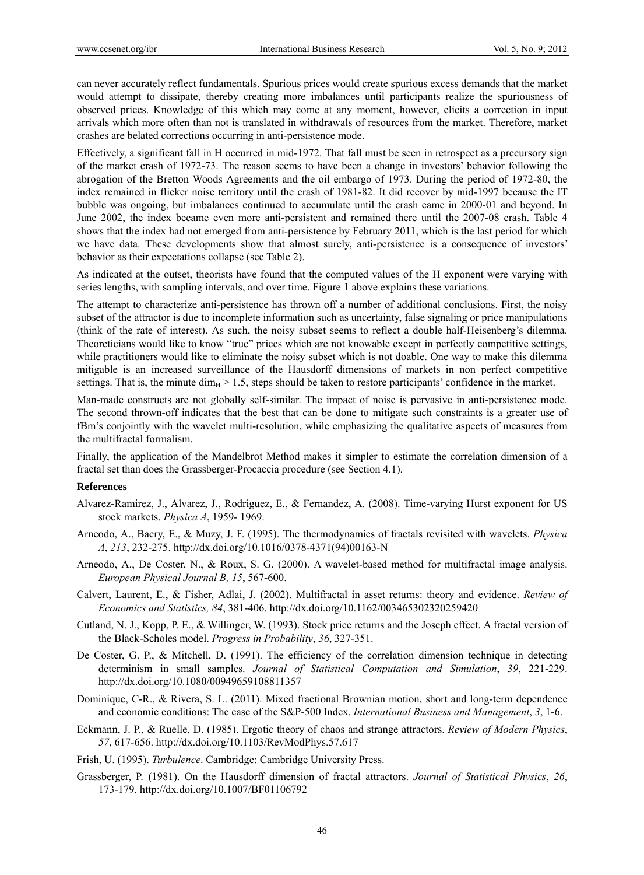can never accurately reflect fundamentals. Spurious prices would create spurious excess demands that the market would attempt to dissipate, thereby creating more imbalances until participants realize the spuriousness of observed prices. Knowledge of this which may come at any moment, however, elicits a correction in input arrivals which more often than not is translated in withdrawals of resources from the market. Therefore, market crashes are belated corrections occurring in anti-persistence mode.

Effectively, a significant fall in H occurred in mid-1972. That fall must be seen in retrospect as a precursory sign of the market crash of 1972-73. The reason seems to have been a change in investors' behavior following the abrogation of the Bretton Woods Agreements and the oil embargo of 1973. During the period of 1972-80, the index remained in flicker noise territory until the crash of 1981-82. It did recover by mid-1997 because the IT bubble was ongoing, but imbalances continued to accumulate until the crash came in 2000-01 and beyond. In June 2002, the index became even more anti-persistent and remained there until the 2007-08 crash. Table 4 shows that the index had not emerged from anti-persistence by February 2011, which is the last period for which we have data. These developments show that almost surely, anti-persistence is a consequence of investors' behavior as their expectations collapse (see Table 2).

As indicated at the outset, theorists have found that the computed values of the H exponent were varying with series lengths, with sampling intervals, and over time. Figure 1 above explains these variations.

The attempt to characterize anti-persistence has thrown off a number of additional conclusions. First, the noisy subset of the attractor is due to incomplete information such as uncertainty, false signaling or price manipulations (think of the rate of interest). As such, the noisy subset seems to reflect a double half-Heisenberg's dilemma. Theoreticians would like to know "true" prices which are not knowable except in perfectly competitive settings, while practitioners would like to eliminate the noisy subset which is not doable. One way to make this dilemma mitigable is an increased surveillance of the Hausdorff dimensions of markets in non perfect competitive settings. That is, the minute dim<sub>H</sub> > 1.5, steps should be taken to restore participants' confidence in the market.

Man-made constructs are not globally self-similar. The impact of noise is pervasive in anti-persistence mode. The second thrown-off indicates that the best that can be done to mitigate such constraints is a greater use of fBm's conjointly with the wavelet multi-resolution, while emphasizing the qualitative aspects of measures from the multifractal formalism.

Finally, the application of the Mandelbrot Method makes it simpler to estimate the correlation dimension of a fractal set than does the Grassberger-Procaccia procedure (see Section 4.1).

#### **References**

- Alvarez-Ramirez, J., Alvarez, J., Rodriguez, E., & Fernandez, A. (2008). Time-varying Hurst exponent for US stock markets. *Physica A*, 1959- 1969.
- Arneodo, A., Bacry, E., & Muzy, J. F. (1995). The thermodynamics of fractals revisited with wavelets. *Physica A*, *213*, 232-275. http://dx.doi.org/10.1016/0378-4371(94)00163-N
- Arneodo, A., De Coster, N., & Roux, S. G. (2000). A wavelet-based method for multifractal image analysis. *European Physical Journal B, 15*, 567-600.
- Calvert, Laurent, E., & Fisher, Adlai, J. (2002). Multifractal in asset returns: theory and evidence. *Review of Economics and Statistics, 84*, 381-406. http://dx.doi.org/10.1162/003465302320259420
- Cutland, N. J., Kopp, P. E., & Willinger, W. (1993). Stock price returns and the Joseph effect. A fractal version of the Black-Scholes model. *Progress in Probability*, *36*, 327-351.
- De Coster, G. P., & Mitchell, D. (1991). The efficiency of the correlation dimension technique in detecting determinism in small samples. *Journal of Statistical Computation and Simulation*, *39*, 221-229. http://dx.doi.org/10.1080/00949659108811357
- Dominique, C-R., & Rivera, S. L. (2011). Mixed fractional Brownian motion, short and long-term dependence and economic conditions: The case of the S&P-500 Index. *International Business and Management*, *3*, 1-6.
- Eckmann, J. P., & Ruelle, D. (1985). Ergotic theory of chaos and strange attractors. *Review of Modern Physics*, *57*, 617-656. http://dx.doi.org/10.1103/RevModPhys.57.617
- Frish, U. (1995). *Turbulence*. Cambridge: Cambridge University Press.
- Grassberger, P. (1981). On the Hausdorff dimension of fractal attractors. *Journal of Statistical Physics*, *26*, 173-179. http://dx.doi.org/10.1007/BF01106792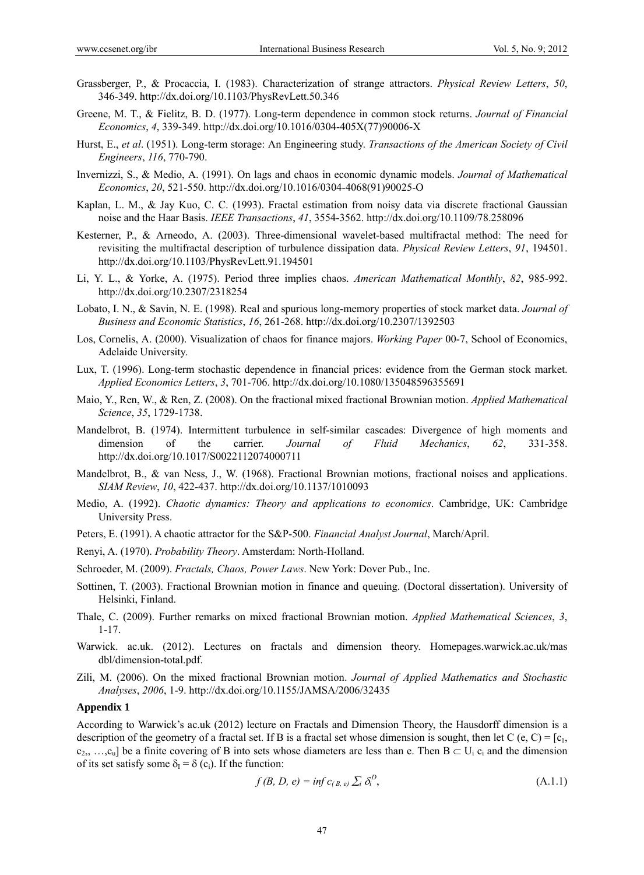- Grassberger, P., & Procaccia, I. (1983). Characterization of strange attractors. *Physical Review Letters*, *50*, 346-349. http://dx.doi.org/10.1103/PhysRevLett.50.346
- Greene, M. T., & Fielitz, B. D. (1977). Long-term dependence in common stock returns. *Journal of Financial Economics*, *4*, 339-349. http://dx.doi.org/10.1016/0304-405X(77)90006-X
- Hurst, E., *et al*. (1951). Long-term storage: An Engineering study. *Transactions of the American Society of Civil Engineers*, *116*, 770-790.
- Invernizzi, S., & Medio, A. (1991). On lags and chaos in economic dynamic models. *Journal of Mathematical Economics*, *20*, 521-550. http://dx.doi.org/10.1016/0304-4068(91)90025-O
- Kaplan, L. M., & Jay Kuo, C. C. (1993). Fractal estimation from noisy data via discrete fractional Gaussian noise and the Haar Basis. *IEEE Transactions*, *41*, 3554-3562. http://dx.doi.org/10.1109/78.258096
- Kesterner, P., & Arneodo, A. (2003). Three-dimensional wavelet-based multifractal method: The need for revisiting the multifractal description of turbulence dissipation data. *Physical Review Letters*, *91*, 194501. http://dx.doi.org/10.1103/PhysRevLett.91.194501
- Li, Y. L., & Yorke, A. (1975). Period three implies chaos. *American Mathematical Monthly*, *82*, 985-992. http://dx.doi.org/10.2307/2318254
- Lobato, I. N., & Savin, N. E. (1998). Real and spurious long-memory properties of stock market data. *Journal of Business and Economic Statistics*, *16*, 261-268. http://dx.doi.org/10.2307/1392503
- Los, Cornelis, A. (2000). Visualization of chaos for finance majors. *Working Paper* 00-7, School of Economics, Adelaide University.
- Lux, T. (1996). Long-term stochastic dependence in financial prices: evidence from the German stock market. *Applied Economics Letters*, *3*, 701-706. http://dx.doi.org/10.1080/135048596355691
- Maio, Y., Ren, W., & Ren, Z. (2008). On the fractional mixed fractional Brownian motion. *Applied Mathematical Science*, *35*, 1729-1738.
- Mandelbrot, B. (1974). Intermittent turbulence in self-similar cascades: Divergence of high moments and dimension of the carrier. *Journal of Fluid Mechanics*, *62*, 331-358. http://dx.doi.org/10.1017/S0022112074000711
- Mandelbrot, B., & van Ness, J., W. (1968). Fractional Brownian motions, fractional noises and applications. *SIAM Review*, *10*, 422-437. http://dx.doi.org/10.1137/1010093
- Medio, A. (1992). *Chaotic dynamics: Theory and applications to economics*. Cambridge, UK: Cambridge University Press.
- Peters, E. (1991). A chaotic attractor for the S&P-500. *Financial Analyst Journal*, March/April.
- Renyi, A. (1970). *Probability Theory*. Amsterdam: North-Holland.

Schroeder, M. (2009). *Fractals, Chaos, Power Laws*. New York: Dover Pub., Inc.

- Sottinen, T. (2003). Fractional Brownian motion in finance and queuing. (Doctoral dissertation). University of Helsinki, Finland.
- Thale, C. (2009). Further remarks on mixed fractional Brownian motion. *Applied Mathematical Sciences*, *3*, 1-17.
- Warwick. ac.uk. (2012). Lectures on fractals and dimension theory. Homepages.warwick.ac.uk/mas dbl/dimension-total.pdf.
- Zili, M. (2006). On the mixed fractional Brownian motion. *Journal of Applied Mathematics and Stochastic Analyses*, *2006*, 1-9. http://dx.doi.org/10.1155/JAMSA/2006/32435

### **Appendix 1**

According to Warwick's ac.uk (2012) lecture on Fractals and Dimension Theory, the Hausdorff dimension is a description of the geometry of a fractal set. If B is a fractal set whose dimension is sought, then let C (e, C) =  $[c_1, c_2]$  $c_2, \ldots, c_u$  be a finite covering of B into sets whose diameters are less than e. Then  $B \subset U_i$   $c_i$  and the dimension of its set satisfy some  $\delta_{I} = \delta(c_{i})$ . If the function:

$$
f(B, D, e) = \inf c_{(B, e)} \sum_i \delta_i^D,
$$
\n(A.1.1)